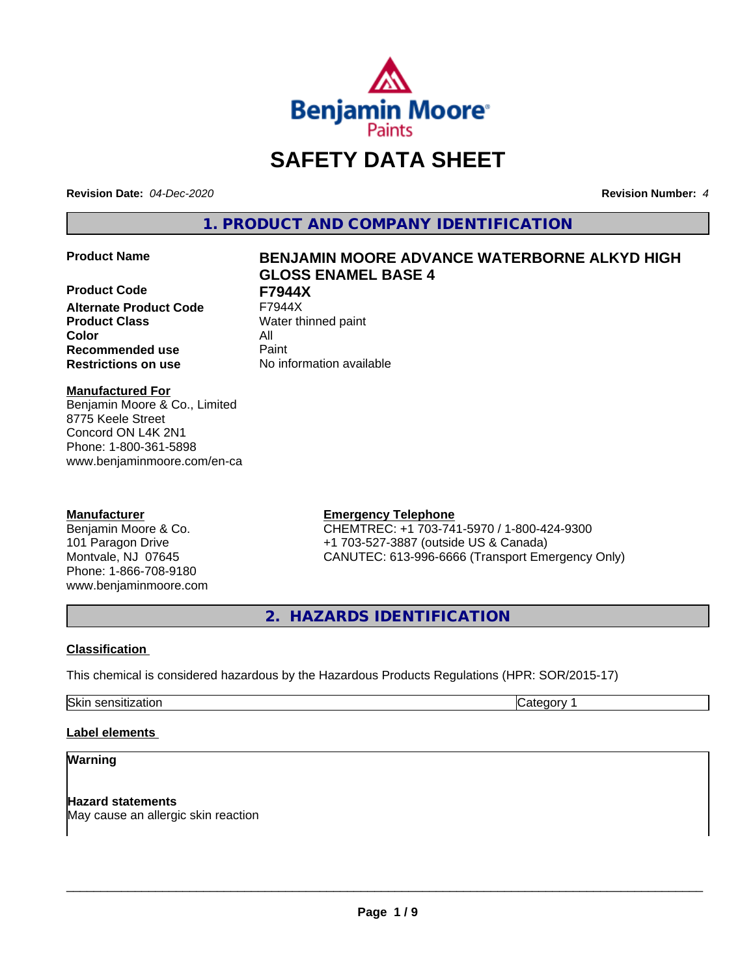

# **SAFETY DATA SHEET**

**Revision Date:** *04-Dec-2020* **Revision Number:** *4*

**1. PRODUCT AND COMPANY IDENTIFICATION**

**Product Code F7944X Alternate Product Code Product Class** Water thinned paint **Color** All **Recommended use** Paint **Restrictions on use** No information available

# **Product Name BENJAMIN MOORE ADVANCE WATERBORNE ALKYD HIGH GLOSS ENAMEL BASE 4**

#### **Manufactured For**

Benjamin Moore & Co., Limited 8775 Keele Street Concord ON L4K 2N1 Phone: 1-800-361-5898 www.benjaminmoore.com/en-ca

### **Manufacturer**

Benjamin Moore & Co. 101 Paragon Drive Montvale, NJ 07645 Phone: 1-866-708-9180 www.benjaminmoore.com

### **Emergency Telephone**

CHEMTREC: +1 703-741-5970 / 1-800-424-9300 +1 703-527-3887 (outside US & Canada) CANUTEC: 613-996-6666 (Transport Emergency Only)

**2. HAZARDS IDENTIFICATION**

#### **Classification**

This chemical is considered hazardous by the Hazardous Products Regulations (HPR: SOR/2015-17)

Skin sensitization **Category 1** and Category 1

### **Label elements**

### **Warning**

**Hazard statements** May cause an allergic skin reaction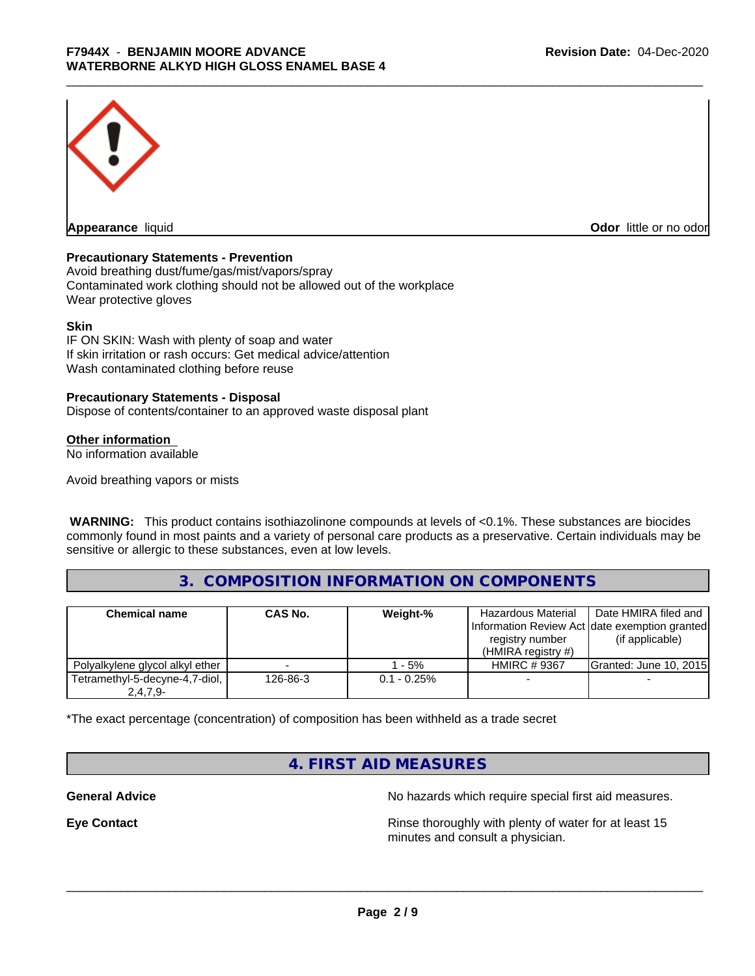

**Odor** little or no odor

#### **Precautionary Statements - Prevention**

Avoid breathing dust/fume/gas/mist/vapors/spray Contaminated work clothing should not be allowed out of the workplace Wear protective gloves

#### **Skin**

IF ON SKIN: Wash with plenty of soap and water If skin irritation or rash occurs: Get medical advice/attention Wash contaminated clothing before reuse

#### **Precautionary Statements - Disposal**

Dispose of contents/container to an approved waste disposal plant

#### **Other information**

No information available

Avoid breathing vapors or mists

 **WARNING:** This product contains isothiazolinone compounds at levels of <0.1%. These substances are biocides commonly found in most paints and a variety of personal care products as a preservative. Certain individuals may be sensitive or allergic to these substances, even at low levels.

# **3. COMPOSITION INFORMATION ON COMPONENTS**

| <b>Chemical name</b>                         | <b>CAS No.</b> | Weight-%       | Hazardous Material<br>Information Review Act date exemption granted<br>registry number<br>(HMIRA registry $#$ ) | Date HMIRA filed and<br>(if applicable) |
|----------------------------------------------|----------------|----------------|-----------------------------------------------------------------------------------------------------------------|-----------------------------------------|
| Polyalkylene glycol alkyl ether              |                | $-5%$          | <b>HMIRC #9367</b>                                                                                              | <b>Granted: June 10, 2015</b>           |
| Tetramethyl-5-decyne-4,7-diol,<br>$2,4,7,9-$ | 126-86-3       | $0.1 - 0.25\%$ |                                                                                                                 |                                         |

\*The exact percentage (concentration) of composition has been withheld as a trade secret

# **4. FIRST AID MEASURES**

**General Advice** No hazards which require special first aid measures.

**Eye Contact Exercise 2.1 All 2.5 All 2.5 All 2.6 All 2.6 All 2.6 All 2.6 All 2.6 All 2.6 All 2.6 All 2.6 All 2.6 All 2.6 All 2.6 All 2.6 All 2.6 All 2.6 All 2.6 All 2.6 All 2.6 All 2.6 All 2.6 All 2.6 All 2.6 All 2.6 Al** minutes and consult a physician.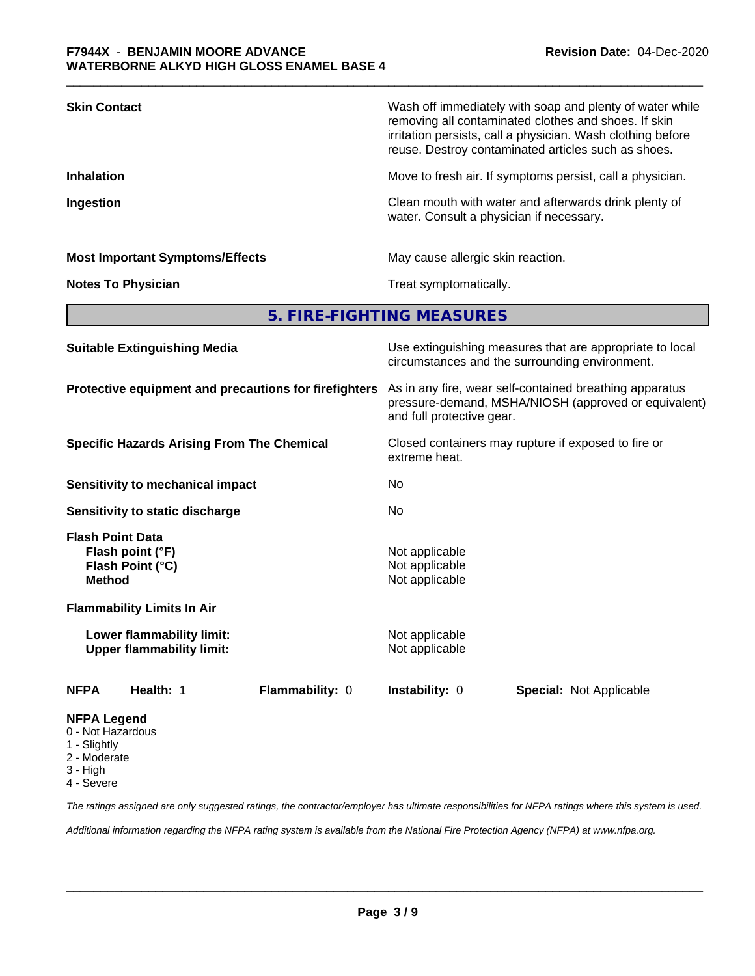| <b>Skin Contact</b>                    | Wash off immediately with soap and plenty of water while<br>removing all contaminated clothes and shoes. If skin<br>irritation persists, call a physician. Wash clothing before<br>reuse. Destroy contaminated articles such as shoes. |
|----------------------------------------|----------------------------------------------------------------------------------------------------------------------------------------------------------------------------------------------------------------------------------------|
| <b>Inhalation</b>                      | Move to fresh air. If symptoms persist, call a physician.                                                                                                                                                                              |
| Ingestion                              | Clean mouth with water and afterwards drink plenty of<br>water. Consult a physician if necessary.                                                                                                                                      |
| <b>Most Important Symptoms/Effects</b> | May cause allergic skin reaction.                                                                                                                                                                                                      |
| <b>Notes To Physician</b>              | Treat symptomatically.                                                                                                                                                                                                                 |

**5. FIRE-FIGHTING MEASURES**

| <b>Suitable Extinguishing Media</b>                                              | Use extinguishing measures that are appropriate to local<br>circumstances and the surrounding environment.                                   |
|----------------------------------------------------------------------------------|----------------------------------------------------------------------------------------------------------------------------------------------|
| Protective equipment and precautions for firefighters                            | As in any fire, wear self-contained breathing apparatus<br>pressure-demand, MSHA/NIOSH (approved or equivalent)<br>and full protective gear. |
| <b>Specific Hazards Arising From The Chemical</b>                                | Closed containers may rupture if exposed to fire or<br>extreme heat.                                                                         |
| Sensitivity to mechanical impact                                                 | No                                                                                                                                           |
| Sensitivity to static discharge                                                  | No.                                                                                                                                          |
| <b>Flash Point Data</b><br>Flash point (°F)<br>Flash Point (°C)<br><b>Method</b> | Not applicable<br>Not applicable<br>Not applicable                                                                                           |
| <b>Flammability Limits In Air</b>                                                |                                                                                                                                              |
| Lower flammability limit:<br><b>Upper flammability limit:</b>                    | Not applicable<br>Not applicable                                                                                                             |
| <b>NFPA</b><br>Health: 1<br>Flammability: 0                                      | <b>Instability: 0</b><br><b>Special: Not Applicable</b>                                                                                      |
| <b>NFPA Legend</b><br>0 - Not Hazardous                                          |                                                                                                                                              |

- 1 Slightly
- 2 Moderate
- 3 High
- 4 Severe

*The ratings assigned are only suggested ratings, the contractor/employer has ultimate responsibilities for NFPA ratings where this system is used.*

*Additional information regarding the NFPA rating system is available from the National Fire Protection Agency (NFPA) at www.nfpa.org.*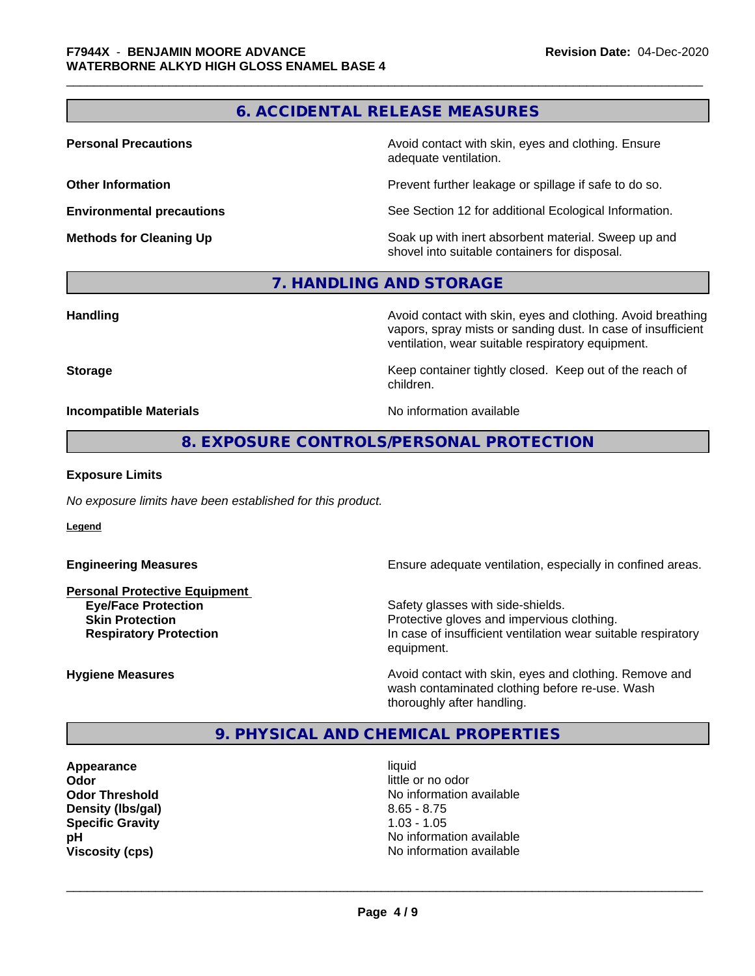# **6. ACCIDENTAL RELEASE MEASURES**

**Personal Precautions Avoid contact with skin, eyes and clothing. Ensure** Avoid contact with skin, eyes and clothing. Ensure adequate ventilation.

**Other Information Determines According to the Prevent further leakage or spillage if safe to do so.** 

**Environmental precautions** See Section 12 for additional Ecological Information.

**Methods for Cleaning Up Example 20 Soak** up with inert absorbent material. Sweep up and shovel into suitable containers for disposal.

#### **7. HANDLING AND STORAGE**

**Handling Handling Avoid contact with skin, eyes and clothing. Avoid breathing** vapors, spray mists or sanding dust. In case of insufficient ventilation, wear suitable respiratory equipment.

**Storage Keep container tightly closed. Keep out of the reach of Keep** container tightly closed. Keep out of the reach of children.

**Incompatible Materials Incompatible Materials No information available** 

#### **8. EXPOSURE CONTROLS/PERSONAL PROTECTION**

#### **Exposure Limits**

*No exposure limits have been established for this product.*

**Legend**

**Personal Protective Equipment Eye/Face Protection Safety glasses with side-shields.** 

**Engineering Measures Ensure** Ensure adequate ventilation, especially in confined areas.

**Skin Protection Protection Protective gloves and impervious clothing. Respiratory Protection In case of insufficient ventilation wear suitable respiratory** equipment.

**Hygiene Measures Avoid contact with skin, eyes and clothing. Remove and Avoid contact with skin, eyes and clothing. Remove and** wash contaminated clothing before re-use. Wash thoroughly after handling.

# **9. PHYSICAL AND CHEMICAL PROPERTIES**

**Appearance** liquid **Odor** little or no odor **Density (Ibs/gal)** 8.65 - 8.75 **Specific Gravity** 1.03 - 1.05

**Odor Threshold No information available No information available pH pH**  $\blacksquare$ **Viscosity (cps)** No information available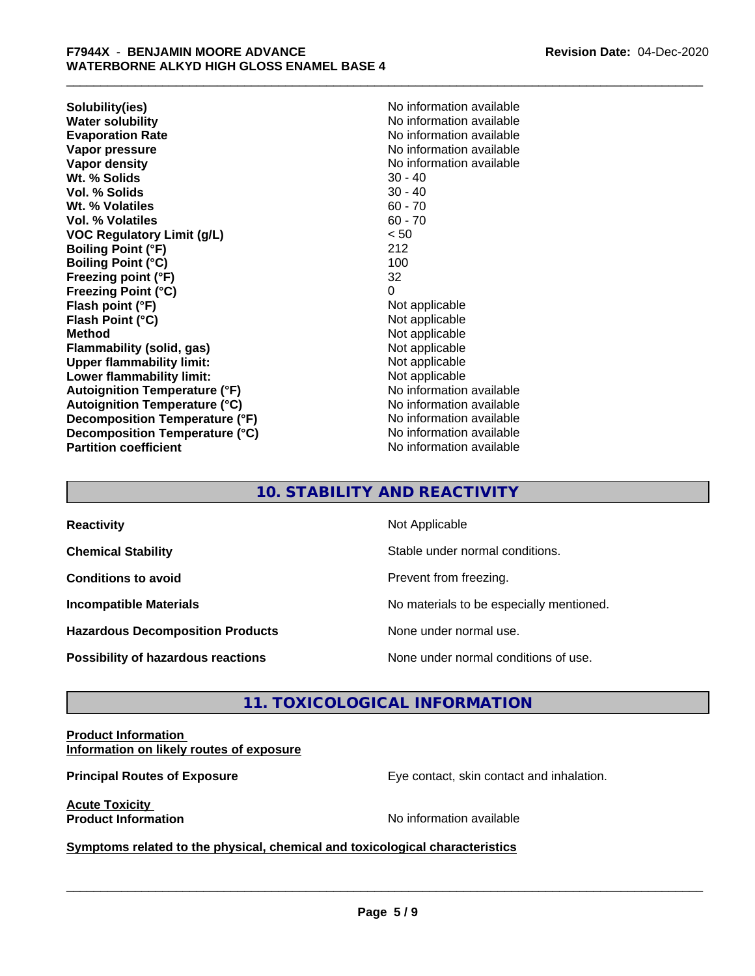**Solubility(ies)** No information available **Water solubility**<br> **Evaporation Rate**<br> **Evaporation Rate**<br> **Evaporation Rate Vapor pressure** No information available **Vapor density No information available No information available Wt.** % Solids 30 - 40 **Vol. % Solids** 30 - 40 **Wt. % Volatiles** 60 - 70 **Vol. % Volatiles** 60 - 70 **VOC Regulatory Limit (g/L)** < 50 **Boiling Point (°F)** 212 **Boiling Point (°C)** 100 **Freezing point (°F)** 32 **Freezing Point (°C)** 0 **Flash point (°F)** Not applicable **Flash Point (°C)** Not applicable **Method** Not applicable **Flammability (solid, gas)** Not applicable **Upper flammability limit:**<br> **Lower flammability limit:**<br>
Not applicable<br>
Not applicable **Lower flammability limit: Autoignition Temperature (°F)** No information available **Autoignition Temperature (°C)** No information available **Decomposition Temperature (°F)** No information available **Decomposition Temperature (°C)** No information available **Partition coefficient CONSTRANSISTS No information available** 

**Evaporation Rate** No information available

# **10. STABILITY AND REACTIVITY**

| <b>Reactivity</b>                       | Not Applicable                           |
|-----------------------------------------|------------------------------------------|
| <b>Chemical Stability</b>               | Stable under normal conditions.          |
| <b>Conditions to avoid</b>              | Prevent from freezing.                   |
| <b>Incompatible Materials</b>           | No materials to be especially mentioned. |
| <b>Hazardous Decomposition Products</b> | None under normal use.                   |
| Possibility of hazardous reactions      | None under normal conditions of use.     |

# **11. TOXICOLOGICAL INFORMATION**

#### **Product Information Information on likely routes of exposure**

**Principal Routes of Exposure Exposure** Eye contact, skin contact and inhalation.

**Acute Toxicity** 

**Product Information Contract Contract Contract Contract Contract Contract Contract Contract Contract Contract Contract Contract Contract Contract Contract Contract Contract Contract Contract Contract Contract Contract C** 

 $\overline{\phantom{a}}$  ,  $\overline{\phantom{a}}$  ,  $\overline{\phantom{a}}$  ,  $\overline{\phantom{a}}$  ,  $\overline{\phantom{a}}$  ,  $\overline{\phantom{a}}$  ,  $\overline{\phantom{a}}$  ,  $\overline{\phantom{a}}$  ,  $\overline{\phantom{a}}$  ,  $\overline{\phantom{a}}$  ,  $\overline{\phantom{a}}$  ,  $\overline{\phantom{a}}$  ,  $\overline{\phantom{a}}$  ,  $\overline{\phantom{a}}$  ,  $\overline{\phantom{a}}$  ,  $\overline{\phantom{a}}$ 

**Symptoms related to the physical, chemical and toxicological characteristics**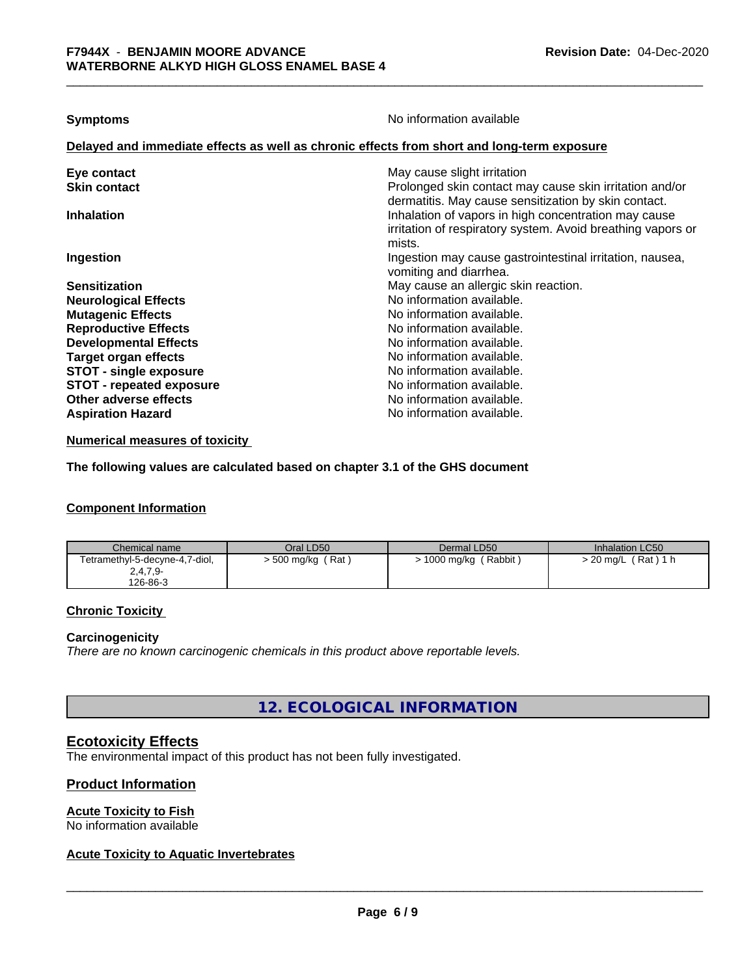**Symptoms** No information available

#### **Delayed and immediate effects as well as chronic effects from short and long-term exposure**

| May cause slight irritation<br>Eye contact<br>Prolonged skin contact may cause skin irritation and/or<br><b>Skin contact</b>             |  |
|------------------------------------------------------------------------------------------------------------------------------------------|--|
| dermatitis. May cause sensitization by skin contact.                                                                                     |  |
| Inhalation of vapors in high concentration may cause<br><b>Inhalation</b><br>irritation of respiratory system. Avoid breathing vapors or |  |
| mists.                                                                                                                                   |  |
| Ingestion may cause gastrointestinal irritation, nausea,<br>Ingestion<br>vomiting and diarrhea.                                          |  |
| May cause an allergic skin reaction.<br><b>Sensitization</b>                                                                             |  |
| No information available.<br><b>Neurological Effects</b>                                                                                 |  |
| No information available.<br><b>Mutagenic Effects</b>                                                                                    |  |
| <b>Reproductive Effects</b><br>No information available.                                                                                 |  |
| <b>Developmental Effects</b><br>No information available.                                                                                |  |
| No information available.<br><b>Target organ effects</b>                                                                                 |  |
| <b>STOT - single exposure</b><br>No information available.                                                                               |  |
| <b>STOT - repeated exposure</b><br>No information available.                                                                             |  |
| Other adverse effects<br>No information available.                                                                                       |  |
| No information available.<br><b>Aspiration Hazard</b>                                                                                    |  |

**Numerical measures of toxicity**

**The following values are calculated based on chapter 3.1 of the GHS document**

#### **Component Information**

| Chemical name                  | Oral LD50          | Dermal LD50              | Inhalation LC50    |
|--------------------------------|--------------------|--------------------------|--------------------|
| Tetramethyl-5-decyne-4,7-diol, | Rat<br>> 500 mg/kg | ' Rabbit )<br>1000 mg/kg | (Rat)<br>> 20 ma/L |
| $2,4,7,9-$                     |                    |                          |                    |
| 126-86-3                       |                    |                          |                    |

### **Chronic Toxicity**

#### **Carcinogenicity**

*There are no known carcinogenic chemicals in this product above reportable levels.*

**12. ECOLOGICAL INFORMATION**

# **Ecotoxicity Effects**

The environmental impact of this product has not been fully investigated.

#### **Product Information**

#### **Acute Toxicity to Fish**

No information available

### **Acute Toxicity to Aquatic Invertebrates**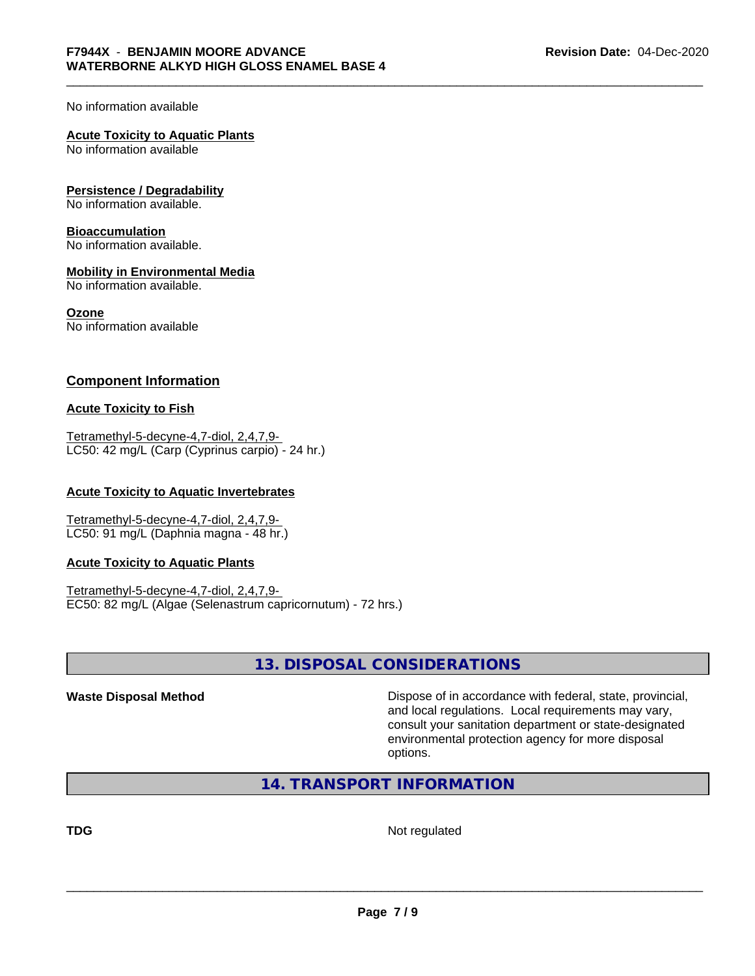No information available

# **Acute Toxicity to Aquatic Plants**

No information available

#### **Persistence / Degradability**

No information available.

#### **Bioaccumulation**

No information available.

#### **Mobility in Environmental Media**

No information available.

#### **Ozone**

No information available

#### **Component Information**

#### **Acute Toxicity to Fish**

Tetramethyl-5-decyne-4,7-diol, 2,4,7,9- LC50: 42 mg/L (Carp (Cyprinus carpio) - 24 hr.)

#### **Acute Toxicity to Aquatic Invertebrates**

Tetramethyl-5-decyne-4,7-diol, 2,4,7,9- LC50: 91 mg/L (Daphnia magna - 48 hr.)

#### **Acute Toxicity to Aquatic Plants**

Tetramethyl-5-decyne-4,7-diol, 2,4,7,9- EC50: 82 mg/L (Algae (Selenastrum capricornutum) - 72 hrs.)

# **13. DISPOSAL CONSIDERATIONS**

**Waste Disposal Method Dispose of in accordance with federal, state, provincial,** and local regulations. Local requirements may vary, consult your sanitation department or state-designated environmental protection agency for more disposal options.

**14. TRANSPORT INFORMATION**

**TDG** Not regulated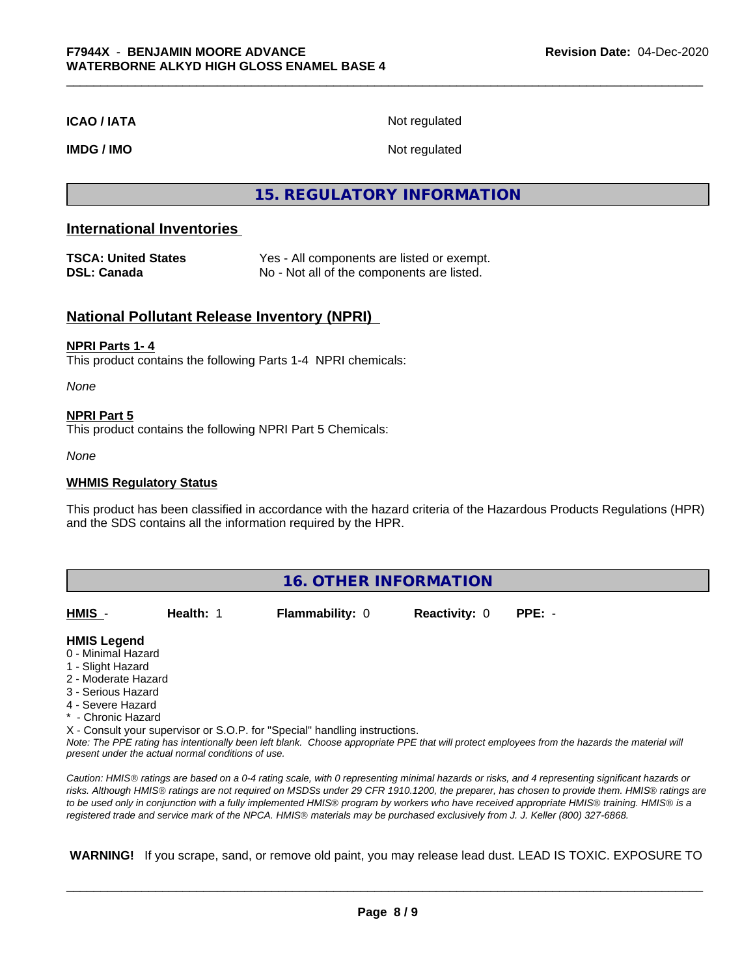#### **ICAO / IATA** Not regulated

**IMDG / IMO** Not regulated

# **15. REGULATORY INFORMATION**

#### **International Inventories**

| <b>TSCA: United States</b> | Yes - All components are listed or exempt. |
|----------------------------|--------------------------------------------|
| <b>DSL: Canada</b>         | No - Not all of the components are listed. |

#### **National Pollutant Release Inventory (NPRI)**

#### **NPRI Parts 1- 4**

This product contains the following Parts 1-4 NPRI chemicals:

*None*

#### **NPRI Part 5**

This product contains the following NPRI Part 5 Chemicals:

*None*

#### **WHMIS Regulatory Status**

This product has been classified in accordance with the hazard criteria of the Hazardous Products Regulations (HPR) and the SDS contains all the information required by the HPR.

| <b>16. OTHER INFORMATION</b> |                                                    |                                                                            |                      |                                                                                                                                                                                                                                                                                                |
|------------------------------|----------------------------------------------------|----------------------------------------------------------------------------|----------------------|------------------------------------------------------------------------------------------------------------------------------------------------------------------------------------------------------------------------------------------------------------------------------------------------|
| HMIS -                       | Health: 1                                          | <b>Flammability: 0</b>                                                     | <b>Reactivity: 0</b> | $PPE: -$                                                                                                                                                                                                                                                                                       |
| <b>HMIS Legend</b>           |                                                    |                                                                            |                      |                                                                                                                                                                                                                                                                                                |
| 0 - Minimal Hazard           |                                                    |                                                                            |                      |                                                                                                                                                                                                                                                                                                |
| 1 - Slight Hazard            |                                                    |                                                                            |                      |                                                                                                                                                                                                                                                                                                |
| 2 - Moderate Hazard          |                                                    |                                                                            |                      |                                                                                                                                                                                                                                                                                                |
| 3 - Serious Hazard           |                                                    |                                                                            |                      |                                                                                                                                                                                                                                                                                                |
| 4 - Severe Hazard            |                                                    |                                                                            |                      |                                                                                                                                                                                                                                                                                                |
| * - Chronic Hazard           |                                                    |                                                                            |                      |                                                                                                                                                                                                                                                                                                |
|                              |                                                    | X - Consult your supervisor or S.O.P. for "Special" handling instructions. |                      |                                                                                                                                                                                                                                                                                                |
|                              | present under the actual normal conditions of use. |                                                                            |                      | Note: The PPE rating has intentionally been left blank. Choose appropriate PPE that will protect employees from the hazards the material will                                                                                                                                                  |
|                              |                                                    |                                                                            |                      | Caution: HMIS® ratings are based on a 0-4 rating scale, with 0 representing minimal hazards or risks, and 4 representing significant hazards or<br>risks. Although HMIS® ratings are not required on MSDSs under 29 CFR 1910.1200, the preparer, has chosen to provide them. HMIS® ratings are |

*risks. Although HMISÒ ratings are not required on MSDSs under 29 CFR 1910.1200, the preparer, has chosen to provide them. HMISÒ ratings are to be used only in conjunction with a fully implemented HMISÒ program by workers who have received appropriate HMISÒ training. HMISÒ is a registered trade and service mark of the NPCA. HMISÒ materials may be purchased exclusively from J. J. Keller (800) 327-6868.*

 **WARNING!** If you scrape, sand, or remove old paint, you may release lead dust. LEAD IS TOXIC. EXPOSURE TO